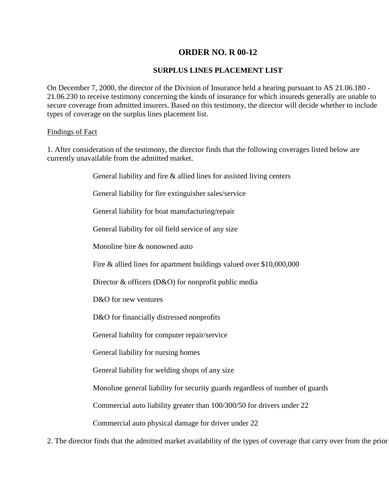## **ORDER NO. R 00-12**

## **SURPLUS LINES PLACEMENT LIST**

On December 7, 2000, the director of the Division of Insurance held a hearing pursuant to AS 21.06.180 - 21.06.230 to receive testimony concerning the kinds of insurance for which insureds generally are unable to secure coverage from admitted insurers. Based on this testimony, the director will decide whether to include types of coverage on the surplus lines placement list.

## Findings of Fact

1. After consideration of the testimony, the director finds that the following coverages listed below are currently unavailable from the admitted market.

General liability and fire & allied lines for assisted living centers

General liability for fire extinguisher sales/service

General liability for boat manufacturing/repair

General liability for oil field service of any size

Monoline hire & nonowned auto

Fire & allied lines for apartment buildings valued over \$10,000,000

Director & officers (D&O) for nonprofit public media

D&O for new ventures

D&O for financially distressed nonprofits

General liability for computer repair/service

General liability for nursing homes

General liability for welding shops of any size

Monoline general liability for security guards regardless of number of guards

Commercial auto liability greater than 100/300/50 for drivers under 22

Commercial auto physical damage for driver under 22

2. The director finds that the admitted market availability of the types of coverage that carry over from the prior